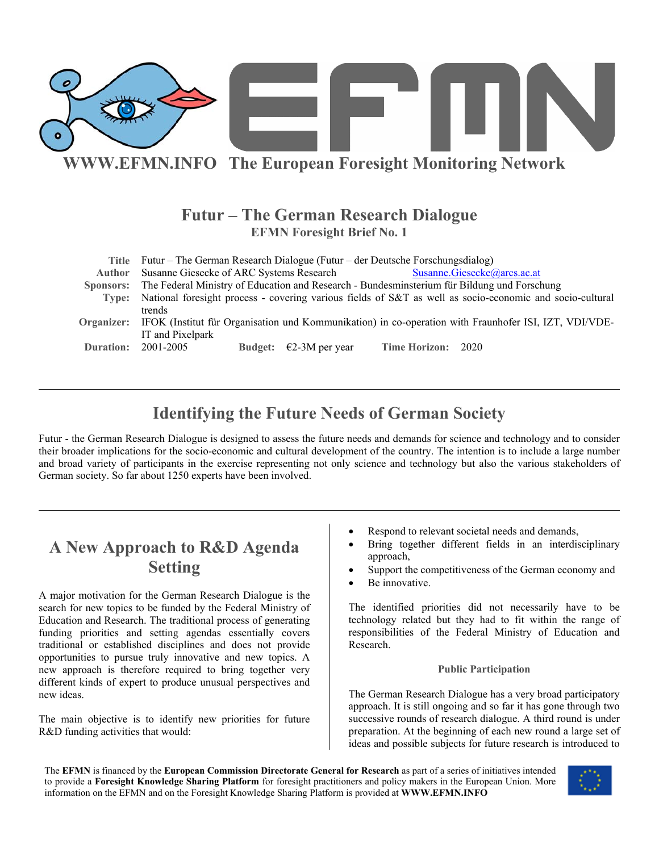

### **Futur – The German Research Dialogue EFMN Foresight Brief No. 1**

|               | Title Futur – The German Research Dialogue (Futur – der Deutsche Forschungsdialog)                               |
|---------------|------------------------------------------------------------------------------------------------------------------|
| <b>Author</b> | Susanne Giesecke of ARC Systems Research<br>Susanne.Giesecke@arcs.ac.at                                          |
|               | Sponsors: The Federal Ministry of Education and Research - Bundesminsterium für Bildung und Forschung            |
|               | Type: National foresight process - covering various fields of S&T as well as socio-economic and socio-cultural   |
|               | trends                                                                                                           |
|               | Organizer: IFOK (Institut für Organisation und Kommunikation) in co-operation with Fraunhofer ISI, IZT, VDI/VDE- |
|               | IT and Pixelpark                                                                                                 |
| Duration:     | 2001-2005<br>Time Horizon: 2020<br>Budget: $\epsilon$ 2-3M per year                                              |

# **Identifying the Future Needs of German Society**

Futur - the German Research Dialogue is designed to assess the future needs and demands for science and technology and to consider their broader implications for the socio-economic and cultural development of the country. The intention is to include a large number and broad variety of participants in the exercise representing not only science and technology but also the various stakeholders of German society. So far about 1250 experts have been involved.

# **A New Approach to R&D Agenda Setting**

A major motivation for the German Research Dialogue is the search for new topics to be funded by the Federal Ministry of Education and Research. The traditional process of generating funding priorities and setting agendas essentially covers traditional or established disciplines and does not provide opportunities to pursue truly innovative and new topics. A new approach is therefore required to bring together very different kinds of expert to produce unusual perspectives and new ideas.

The main objective is to identify new priorities for future R&D funding activities that would:

- Respond to relevant societal needs and demands,
- Bring together different fields in an interdisciplinary approach,
- Support the competitiveness of the German economy and
- Be innovative.

The identified priorities did not necessarily have to be technology related but they had to fit within the range of responsibilities of the Federal Ministry of Education and Research.

#### **Public Participation**

The German Research Dialogue has a very broad participatory approach. It is still ongoing and so far it has gone through two successive rounds of research dialogue. A third round is under preparation. At the beginning of each new round a large set of ideas and possible subjects for future research is introduced to

The **EFMN** is financed by the **European Commission Directorate General for Research** as part of a series of initiatives intended to provide a **Foresight Knowledge Sharing Platform** for foresight practitioners and policy makers in the European Union. More information on the EFMN and on the Foresight Knowledge Sharing Platform is provided at **WWW.EFMN.INFO**

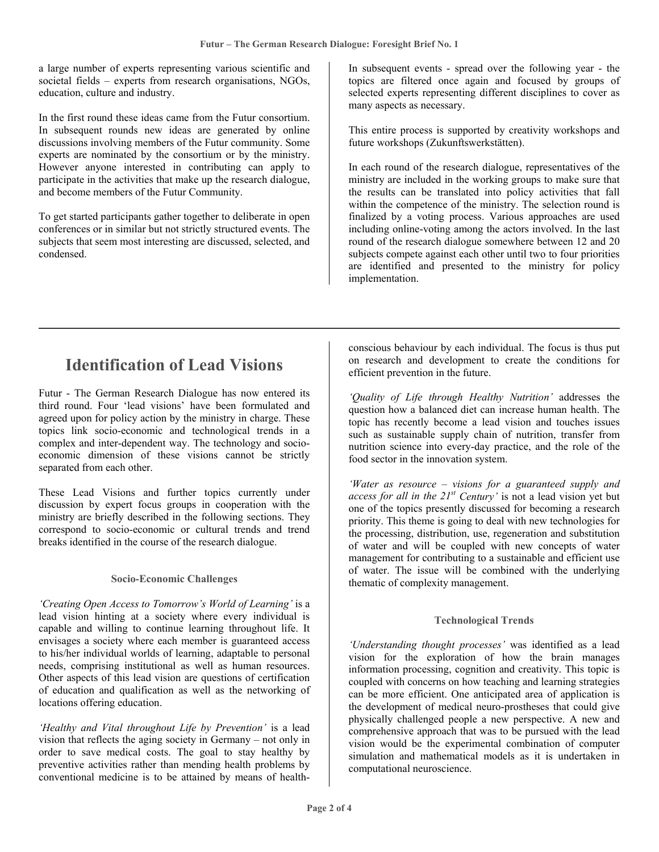a large number of experts representing various scientific and societal fields – experts from research organisations, NGOs, education, culture and industry.

In the first round these ideas came from the Futur consortium. In subsequent rounds new ideas are generated by online discussions involving members of the Futur community. Some experts are nominated by the consortium or by the ministry. However anyone interested in contributing can apply to participate in the activities that make up the research dialogue, and become members of the Futur Community.

To get started participants gather together to deliberate in open conferences or in similar but not strictly structured events. The subjects that seem most interesting are discussed, selected, and condensed.

In subsequent events - spread over the following year - the topics are filtered once again and focused by groups of selected experts representing different disciplines to cover as many aspects as necessary.

This entire process is supported by creativity workshops and future workshops (Zukunftswerkstätten).

In each round of the research dialogue, representatives of the ministry are included in the working groups to make sure that the results can be translated into policy activities that fall within the competence of the ministry. The selection round is finalized by a voting process. Various approaches are used including online-voting among the actors involved. In the last round of the research dialogue somewhere between 12 and 20 subjects compete against each other until two to four priorities are identified and presented to the ministry for policy implementation.

### **Identification of Lead Visions**

Futur - The German Research Dialogue has now entered its third round. Four 'lead visions' have been formulated and agreed upon for policy action by the ministry in charge. These topics link socio-economic and technological trends in a complex and inter-dependent way. The technology and socioeconomic dimension of these visions cannot be strictly separated from each other.

These Lead Visions and further topics currently under discussion by expert focus groups in cooperation with the ministry are briefly described in the following sections. They correspond to socio-economic or cultural trends and trend breaks identified in the course of the research dialogue.

### **Socio-Economic Challenges**

*'Creating Open Access to Tomorrow's World of Learning'* is a lead vision hinting at a society where every individual is capable and willing to continue learning throughout life. It envisages a society where each member is guaranteed access to his/her individual worlds of learning, adaptable to personal needs, comprising institutional as well as human resources. Other aspects of this lead vision are questions of certification of education and qualification as well as the networking of locations offering education.

*'Healthy and Vital throughout Life by Prevention'* is a lead vision that reflects the aging society in Germany – not only in order to save medical costs. The goal to stay healthy by preventive activities rather than mending health problems by conventional medicine is to be attained by means of healthconscious behaviour by each individual. The focus is thus put on research and development to create the conditions for efficient prevention in the future.

*'Quality of Life through Healthy Nutrition'* addresses the question how a balanced diet can increase human health. The topic has recently become a lead vision and touches issues such as sustainable supply chain of nutrition, transfer from nutrition science into every-day practice, and the role of the food sector in the innovation system.

*'Water as resource – visions for a guaranteed supply and access for all in the 21st Century'* is not a lead vision yet but one of the topics presently discussed for becoming a research priority. This theme is going to deal with new technologies for the processing, distribution, use, regeneration and substitution of water and will be coupled with new concepts of water management for contributing to a sustainable and efficient use of water. The issue will be combined with the underlying thematic of complexity management.

#### **Technological Trends**

*'Understanding thought processes'* was identified as a lead vision for the exploration of how the brain manages information processing, cognition and creativity. This topic is coupled with concerns on how teaching and learning strategies can be more efficient. One anticipated area of application is the development of medical neuro-prostheses that could give physically challenged people a new perspective. A new and comprehensive approach that was to be pursued with the lead vision would be the experimental combination of computer simulation and mathematical models as it is undertaken in computational neuroscience.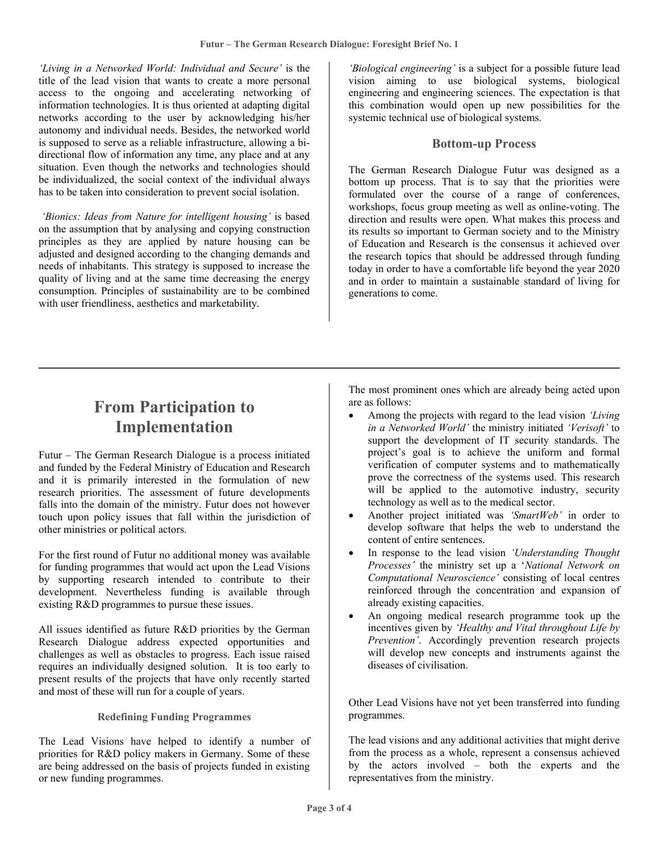*'Living in a Networked World: Individual and Secure'* is the title of the lead vision that wants to create a more personal access to the ongoing and accelerating networking of information technologies. It is thus oriented at adapting digital networks according to the user by acknowledging his/her autonomy and individual needs. Besides, the networked world is supposed to serve as a reliable infrastructure, allowing a bidirectional flow of information any time, any place and at any situation. Even though the networks and technologies should be individualized, the social context of the individual always has to be taken into consideration to prevent social isolation.

 *'Bionics: Ideas from Nature for intelligent housing'* is based on the assumption that by analysing and copying construction principles as they are applied by nature housing can be adjusted and designed according to the changing demands and needs of inhabitants. This strategy is supposed to increase the quality of living and at the same time decreasing the energy consumption. Principles of sustainability are to be combined with user friendliness, aesthetics and marketability.

*'Biological engineering'* is a subject for a possible future lead vision aiming to use biological systems, biological engineering and engineering sciences. The expectation is that this combination would open up new possibilities for the systemic technical use of biological systems.

### **Bottom-up Process**

The German Research Dialogue Futur was designed as a bottom up process. That is to say that the priorities were formulated over the course of a range of conferences, workshops, focus group meeting as well as online-voting. The direction and results were open. What makes this process and its results so important to German society and to the Ministry of Education and Research is the consensus it achieved over the research topics that should be addressed through funding today in order to have a comfortable life beyond the year 2020 and in order to maintain a sustainable standard of living for generations to come.

# **From Participation to Implementation**

Futur – The German Research Dialogue is a process initiated and funded by the Federal Ministry of Education and Research and it is primarily interested in the formulation of new research priorities. The assessment of future developments falls into the domain of the ministry. Futur does not however touch upon policy issues that fall within the jurisdiction of other ministries or political actors.

For the first round of Futur no additional money was available for funding programmes that would act upon the Lead Visions by supporting research intended to contribute to their development. Nevertheless funding is available through existing R&D programmes to pursue these issues.

All issues identified as future R&D priorities by the German Research Dialogue address expected opportunities and challenges as well as obstacles to progress. Each issue raised requires an individually designed solution. It is too early to present results of the projects that have only recently started and most of these will run for a couple of years.

#### **Redefining Funding Programmes**

The Lead Visions have helped to identify a number of priorities for R&D policy makers in Germany. Some of these are being addressed on the basis of projects funded in existing or new funding programmes.

The most prominent ones which are already being acted upon are as follows:

- Among the projects with regard to the lead vision *'Living in a Networked World'* the ministry initiated *'Verisoft'* to support the development of IT security standards. The project's goal is to achieve the uniform and formal verification of computer systems and to mathematically prove the correctness of the systems used. This research will be applied to the automotive industry, security technology as well as to the medical sector.
- Another project initiated was *'SmartWeb'* in order to develop software that helps the web to understand the content of entire sentences.
- In response to the lead vision *'Understanding Thought Processes'* the ministry set up a '*National Network on Computational Neuroscience'* consisting of local centres reinforced through the concentration and expansion of already existing capacities.
- An ongoing medical research programme took up the incentives given by *'Healthy and Vital throughout Life by Prevention'*. Accordingly prevention research projects will develop new concepts and instruments against the diseases of civilisation.

Other Lead Visions have not yet been transferred into funding programmes.

The lead visions and any additional activities that might derive from the process as a whole, represent a consensus achieved by the actors involved – both the experts and the representatives from the ministry.